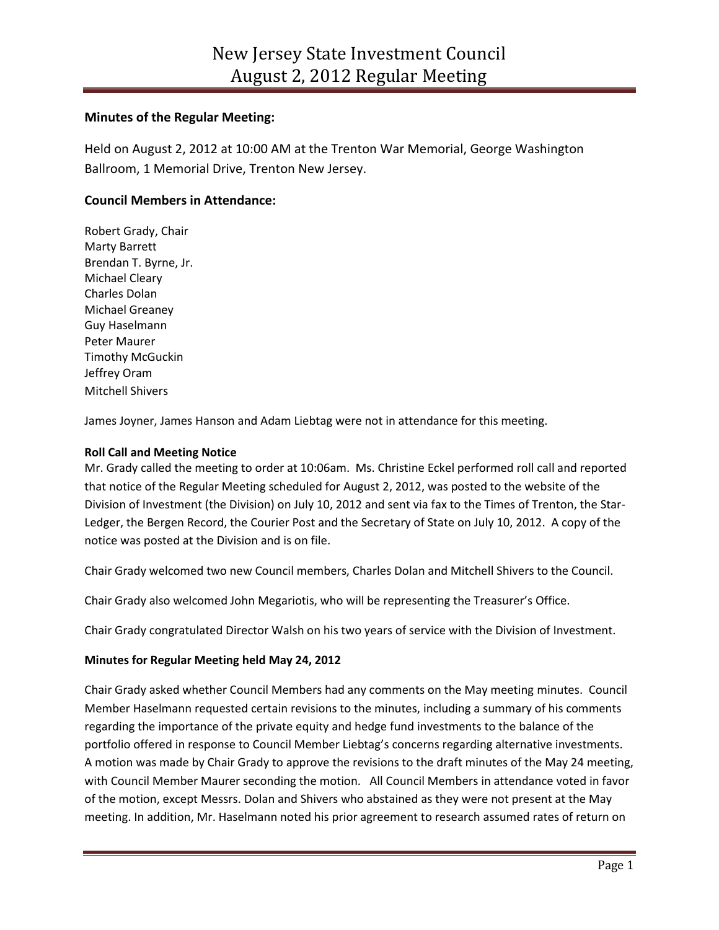# **Minutes of the Regular Meeting:**

Held on August 2, 2012 at 10:00 AM at the Trenton War Memorial, George Washington Ballroom, 1 Memorial Drive, Trenton New Jersey.

# **Council Members in Attendance:**

Robert Grady, Chair Marty Barrett Brendan T. Byrne, Jr. Michael Cleary Charles Dolan Michael Greaney Guy Haselmann Peter Maurer Timothy McGuckin Jeffrey Oram Mitchell Shivers

James Joyner, James Hanson and Adam Liebtag were not in attendance for this meeting.

## **Roll Call and Meeting Notice**

Mr. Grady called the meeting to order at 10:06am. Ms. Christine Eckel performed roll call and reported that notice of the Regular Meeting scheduled for August 2, 2012, was posted to the website of the Division of Investment (the Division) on July 10, 2012 and sent via fax to the Times of Trenton, the Star-Ledger, the Bergen Record, the Courier Post and the Secretary of State on July 10, 2012. A copy of the notice was posted at the Division and is on file.

Chair Grady welcomed two new Council members, Charles Dolan and Mitchell Shivers to the Council.

Chair Grady also welcomed John Megariotis, who will be representing the Treasurer's Office.

Chair Grady congratulated Director Walsh on his two years of service with the Division of Investment.

## **Minutes for Regular Meeting held May 24, 2012**

Chair Grady asked whether Council Members had any comments on the May meeting minutes. Council Member Haselmann requested certain revisions to the minutes, including a summary of his comments regarding the importance of the private equity and hedge fund investments to the balance of the portfolio offered in response to Council Member Liebtag's concerns regarding alternative investments. A motion was made by Chair Grady to approve the revisions to the draft minutes of the May 24 meeting, with Council Member Maurer seconding the motion. All Council Members in attendance voted in favor of the motion, except Messrs. Dolan and Shivers who abstained as they were not present at the May meeting. In addition, Mr. Haselmann noted his prior agreement to research assumed rates of return on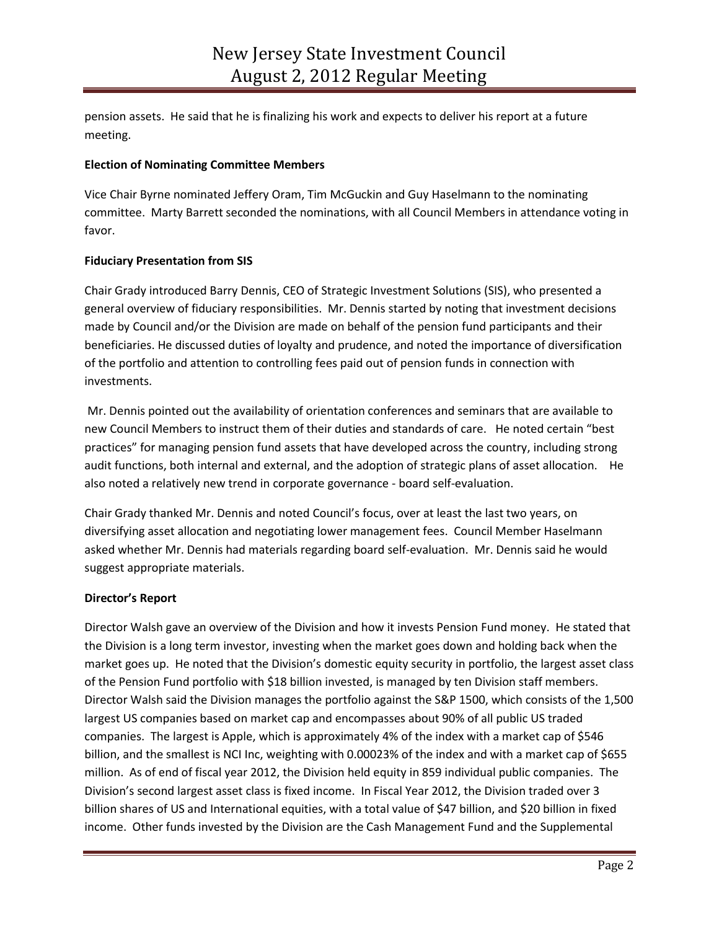pension assets. He said that he is finalizing his work and expects to deliver his report at a future meeting.

## **Election of Nominating Committee Members**

Vice Chair Byrne nominated Jeffery Oram, Tim McGuckin and Guy Haselmann to the nominating committee. Marty Barrett seconded the nominations, with all Council Members in attendance voting in favor.

## **Fiduciary Presentation from SIS**

Chair Grady introduced Barry Dennis, CEO of Strategic Investment Solutions (SIS), who presented a general overview of fiduciary responsibilities. Mr. Dennis started by noting that investment decisions made by Council and/or the Division are made on behalf of the pension fund participants and their beneficiaries. He discussed duties of loyalty and prudence, and noted the importance of diversification of the portfolio and attention to controlling fees paid out of pension funds in connection with investments.

Mr. Dennis pointed out the availability of orientation conferences and seminars that are available to new Council Members to instruct them of their duties and standards of care. He noted certain "best practices" for managing pension fund assets that have developed across the country, including strong audit functions, both internal and external, and the adoption of strategic plans of asset allocation. He also noted a relatively new trend in corporate governance - board self-evaluation.

Chair Grady thanked Mr. Dennis and noted Council's focus, over at least the last two years, on diversifying asset allocation and negotiating lower management fees. Council Member Haselmann asked whether Mr. Dennis had materials regarding board self-evaluation. Mr. Dennis said he would suggest appropriate materials.

## **Director's Report**

Director Walsh gave an overview of the Division and how it invests Pension Fund money. He stated that the Division is a long term investor, investing when the market goes down and holding back when the market goes up. He noted that the Division's domestic equity security in portfolio, the largest asset class of the Pension Fund portfolio with \$18 billion invested, is managed by ten Division staff members. Director Walsh said the Division manages the portfolio against the S&P 1500, which consists of the 1,500 largest US companies based on market cap and encompasses about 90% of all public US traded companies. The largest is Apple, which is approximately 4% of the index with a market cap of \$546 billion, and the smallest is NCI Inc, weighting with 0.00023% of the index and with a market cap of \$655 million. As of end of fiscal year 2012, the Division held equity in 859 individual public companies. The Division's second largest asset class is fixed income. In Fiscal Year 2012, the Division traded over 3 billion shares of US and International equities, with a total value of \$47 billion, and \$20 billion in fixed income. Other funds invested by the Division are the Cash Management Fund and the Supplemental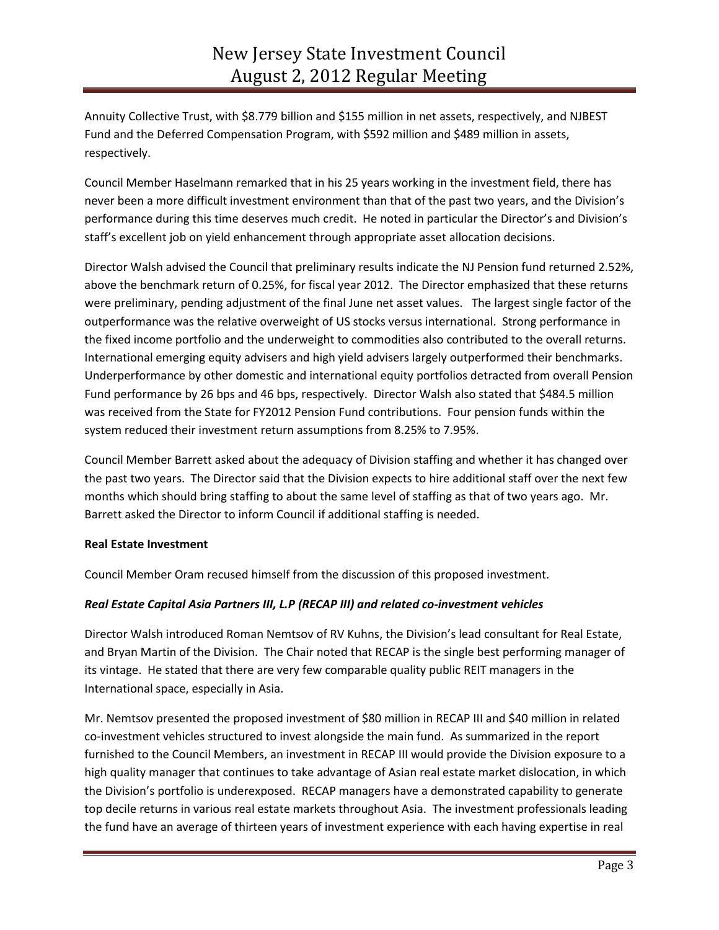Annuity Collective Trust, with \$8.779 billion and \$155 million in net assets, respectively, and NJBEST Fund and the Deferred Compensation Program, with \$592 million and \$489 million in assets, respectively.

Council Member Haselmann remarked that in his 25 years working in the investment field, there has never been a more difficult investment environment than that of the past two years, and the Division's performance during this time deserves much credit. He noted in particular the Director's and Division's staff's excellent job on yield enhancement through appropriate asset allocation decisions.

Director Walsh advised the Council that preliminary results indicate the NJ Pension fund returned 2.52%, above the benchmark return of 0.25%, for fiscal year 2012. The Director emphasized that these returns were preliminary, pending adjustment of the final June net asset values. The largest single factor of the outperformance was the relative overweight of US stocks versus international. Strong performance in the fixed income portfolio and the underweight to commodities also contributed to the overall returns. International emerging equity advisers and high yield advisers largely outperformed their benchmarks. Underperformance by other domestic and international equity portfolios detracted from overall Pension Fund performance by 26 bps and 46 bps, respectively. Director Walsh also stated that \$484.5 million was received from the State for FY2012 Pension Fund contributions. Four pension funds within the system reduced their investment return assumptions from 8.25% to 7.95%.

Council Member Barrett asked about the adequacy of Division staffing and whether it has changed over the past two years. The Director said that the Division expects to hire additional staff over the next few months which should bring staffing to about the same level of staffing as that of two years ago. Mr. Barrett asked the Director to inform Council if additional staffing is needed.

## **Real Estate Investment**

Council Member Oram recused himself from the discussion of this proposed investment.

## *Real Estate Capital Asia Partners III, L.P (RECAP III) and related co-investment vehicles*

Director Walsh introduced Roman Nemtsov of RV Kuhns, the Division's lead consultant for Real Estate, and Bryan Martin of the Division. The Chair noted that RECAP is the single best performing manager of its vintage. He stated that there are very few comparable quality public REIT managers in the International space, especially in Asia.

Mr. Nemtsov presented the proposed investment of \$80 million in RECAP III and \$40 million in related co-investment vehicles structured to invest alongside the main fund. As summarized in the report furnished to the Council Members, an investment in RECAP III would provide the Division exposure to a high quality manager that continues to take advantage of Asian real estate market dislocation, in which the Division's portfolio is underexposed. RECAP managers have a demonstrated capability to generate top decile returns in various real estate markets throughout Asia. The investment professionals leading the fund have an average of thirteen years of investment experience with each having expertise in real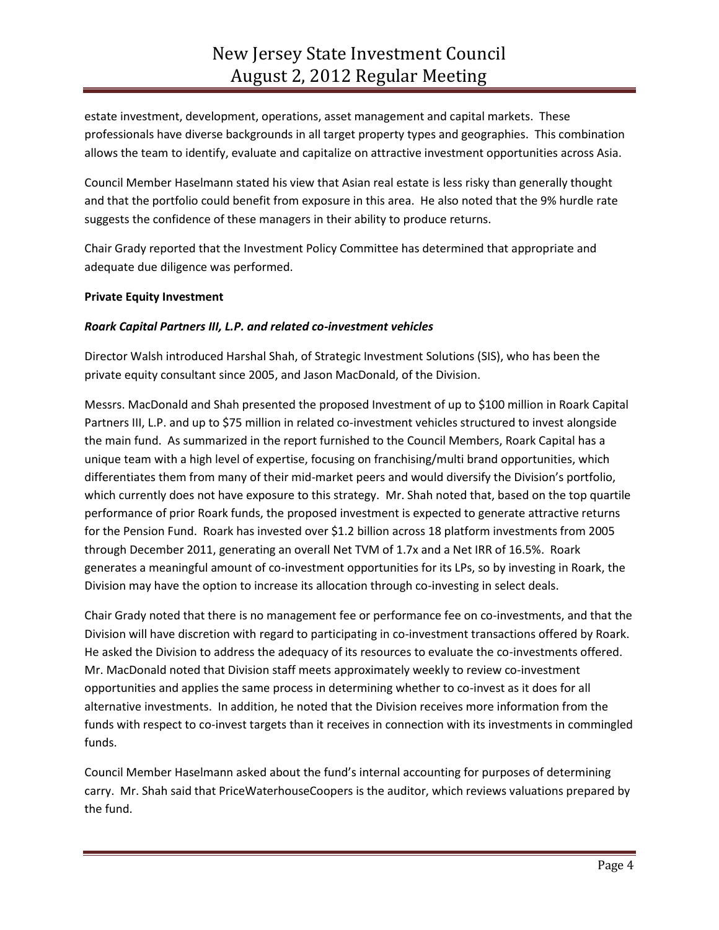estate investment, development, operations, asset management and capital markets. These professionals have diverse backgrounds in all target property types and geographies. This combination allows the team to identify, evaluate and capitalize on attractive investment opportunities across Asia.

Council Member Haselmann stated his view that Asian real estate is less risky than generally thought and that the portfolio could benefit from exposure in this area. He also noted that the 9% hurdle rate suggests the confidence of these managers in their ability to produce returns.

Chair Grady reported that the Investment Policy Committee has determined that appropriate and adequate due diligence was performed.

## **Private Equity Investment**

## *Roark Capital Partners III, L.P. and related co-investment vehicles*

Director Walsh introduced Harshal Shah, of Strategic Investment Solutions (SIS), who has been the private equity consultant since 2005, and Jason MacDonald, of the Division.

Messrs. MacDonald and Shah presented the proposed Investment of up to \$100 million in Roark Capital Partners III, L.P. and up to \$75 million in related co-investment vehicles structured to invest alongside the main fund. As summarized in the report furnished to the Council Members, Roark Capital has a unique team with a high level of expertise, focusing on franchising/multi brand opportunities, which differentiates them from many of their mid-market peers and would diversify the Division's portfolio, which currently does not have exposure to this strategy. Mr. Shah noted that, based on the top quartile performance of prior Roark funds, the proposed investment is expected to generate attractive returns for the Pension Fund. Roark has invested over \$1.2 billion across 18 platform investments from 2005 through December 2011, generating an overall Net TVM of 1.7x and a Net IRR of 16.5%. Roark generates a meaningful amount of co-investment opportunities for its LPs, so by investing in Roark, the Division may have the option to increase its allocation through co-investing in select deals.

Chair Grady noted that there is no management fee or performance fee on co-investments, and that the Division will have discretion with regard to participating in co-investment transactions offered by Roark. He asked the Division to address the adequacy of its resources to evaluate the co-investments offered. Mr. MacDonald noted that Division staff meets approximately weekly to review co-investment opportunities and applies the same process in determining whether to co-invest as it does for all alternative investments. In addition, he noted that the Division receives more information from the funds with respect to co-invest targets than it receives in connection with its investments in commingled funds.

Council Member Haselmann asked about the fund's internal accounting for purposes of determining carry. Mr. Shah said that PriceWaterhouseCoopers is the auditor, which reviews valuations prepared by the fund.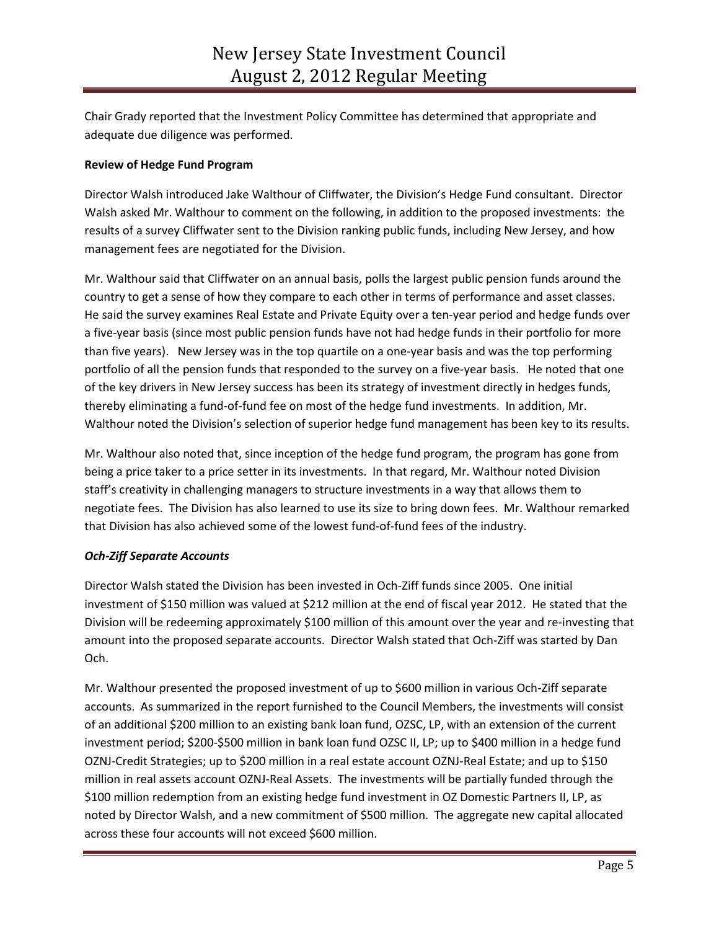Chair Grady reported that the Investment Policy Committee has determined that appropriate and adequate due diligence was performed.

# **Review of Hedge Fund Program**

Director Walsh introduced Jake Walthour of Cliffwater, the Division's Hedge Fund consultant. Director Walsh asked Mr. Walthour to comment on the following, in addition to the proposed investments: the results of a survey Cliffwater sent to the Division ranking public funds, including New Jersey, and how management fees are negotiated for the Division.

Mr. Walthour said that Cliffwater on an annual basis, polls the largest public pension funds around the country to get a sense of how they compare to each other in terms of performance and asset classes. He said the survey examines Real Estate and Private Equity over a ten-year period and hedge funds over a five-year basis (since most public pension funds have not had hedge funds in their portfolio for more than five years). New Jersey was in the top quartile on a one-year basis and was the top performing portfolio of all the pension funds that responded to the survey on a five-year basis. He noted that one of the key drivers in New Jersey success has been its strategy of investment directly in hedges funds, thereby eliminating a fund-of-fund fee on most of the hedge fund investments. In addition, Mr. Walthour noted the Division's selection of superior hedge fund management has been key to its results.

Mr. Walthour also noted that, since inception of the hedge fund program, the program has gone from being a price taker to a price setter in its investments. In that regard, Mr. Walthour noted Division staff's creativity in challenging managers to structure investments in a way that allows them to negotiate fees. The Division has also learned to use its size to bring down fees. Mr. Walthour remarked that Division has also achieved some of the lowest fund-of-fund fees of the industry.

# *Och-Ziff Separate Accounts*

Director Walsh stated the Division has been invested in Och-Ziff funds since 2005. One initial investment of \$150 million was valued at \$212 million at the end of fiscal year 2012. He stated that the Division will be redeeming approximately \$100 million of this amount over the year and re-investing that amount into the proposed separate accounts. Director Walsh stated that Och-Ziff was started by Dan Och.

Mr. Walthour presented the proposed investment of up to \$600 million in various Och-Ziff separate accounts. As summarized in the report furnished to the Council Members, the investments will consist of an additional \$200 million to an existing bank loan fund, OZSC, LP, with an extension of the current investment period; \$200-\$500 million in bank loan fund OZSC II, LP; up to \$400 million in a hedge fund OZNJ-Credit Strategies; up to \$200 million in a real estate account OZNJ-Real Estate; and up to \$150 million in real assets account OZNJ-Real Assets. The investments will be partially funded through the \$100 million redemption from an existing hedge fund investment in OZ Domestic Partners II, LP, as noted by Director Walsh, and a new commitment of \$500 million. The aggregate new capital allocated across these four accounts will not exceed \$600 million.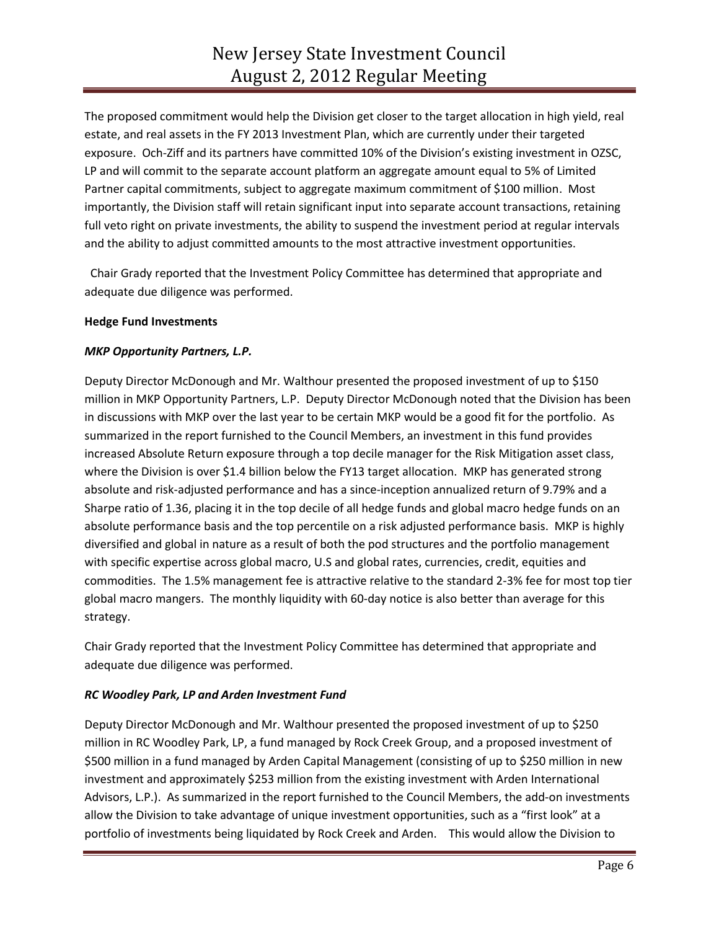The proposed commitment would help the Division get closer to the target allocation in high yield, real estate, and real assets in the FY 2013 Investment Plan, which are currently under their targeted exposure. Och-Ziff and its partners have committed 10% of the Division's existing investment in OZSC, LP and will commit to the separate account platform an aggregate amount equal to 5% of Limited Partner capital commitments, subject to aggregate maximum commitment of \$100 million. Most importantly, the Division staff will retain significant input into separate account transactions, retaining full veto right on private investments, the ability to suspend the investment period at regular intervals and the ability to adjust committed amounts to the most attractive investment opportunities.

 Chair Grady reported that the Investment Policy Committee has determined that appropriate and adequate due diligence was performed.

## **Hedge Fund Investments**

## *MKP Opportunity Partners, L.P.*

Deputy Director McDonough and Mr. Walthour presented the proposed investment of up to \$150 million in MKP Opportunity Partners, L.P. Deputy Director McDonough noted that the Division has been in discussions with MKP over the last year to be certain MKP would be a good fit for the portfolio. As summarized in the report furnished to the Council Members, an investment in this fund provides increased Absolute Return exposure through a top decile manager for the Risk Mitigation asset class, where the Division is over \$1.4 billion below the FY13 target allocation. MKP has generated strong absolute and risk-adjusted performance and has a since-inception annualized return of 9.79% and a Sharpe ratio of 1.36, placing it in the top decile of all hedge funds and global macro hedge funds on an absolute performance basis and the top percentile on a risk adjusted performance basis. MKP is highly diversified and global in nature as a result of both the pod structures and the portfolio management with specific expertise across global macro, U.S and global rates, currencies, credit, equities and commodities. The 1.5% management fee is attractive relative to the standard 2-3% fee for most top tier global macro mangers. The monthly liquidity with 60-day notice is also better than average for this strategy.

Chair Grady reported that the Investment Policy Committee has determined that appropriate and adequate due diligence was performed.

# *RC Woodley Park, LP and Arden Investment Fund*

Deputy Director McDonough and Mr. Walthour presented the proposed investment of up to \$250 million in RC Woodley Park, LP, a fund managed by Rock Creek Group, and a proposed investment of \$500 million in a fund managed by Arden Capital Management (consisting of up to \$250 million in new investment and approximately \$253 million from the existing investment with Arden International Advisors, L.P.). As summarized in the report furnished to the Council Members, the add-on investments allow the Division to take advantage of unique investment opportunities, such as a "first look" at a portfolio of investments being liquidated by Rock Creek and Arden. This would allow the Division to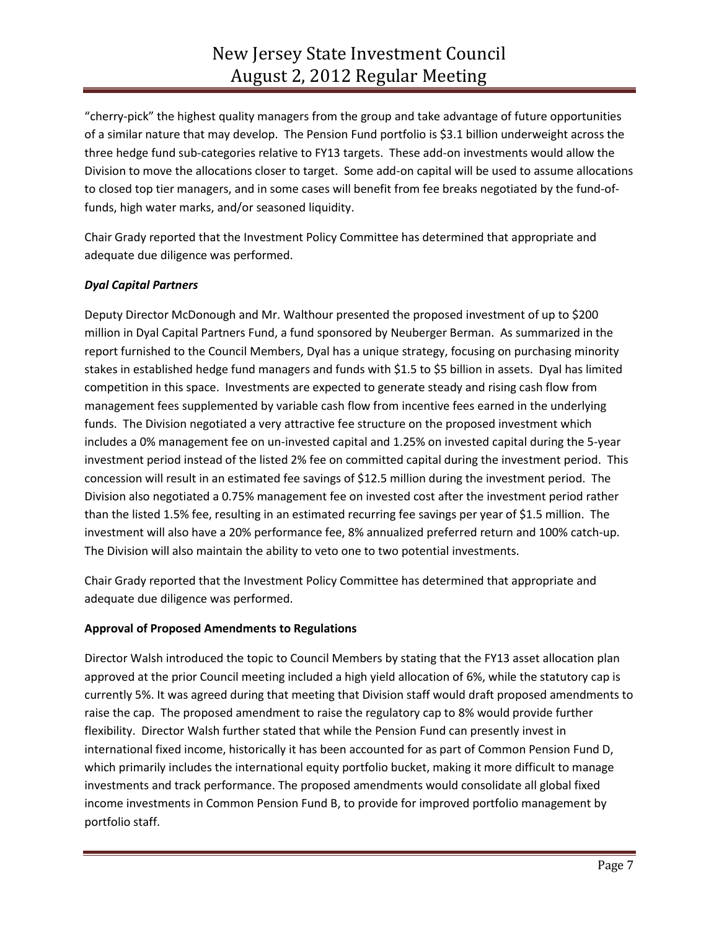"cherry-pick" the highest quality managers from the group and take advantage of future opportunities of a similar nature that may develop. The Pension Fund portfolio is \$3.1 billion underweight across the three hedge fund sub-categories relative to FY13 targets. These add-on investments would allow the Division to move the allocations closer to target. Some add-on capital will be used to assume allocations to closed top tier managers, and in some cases will benefit from fee breaks negotiated by the fund-offunds, high water marks, and/or seasoned liquidity.

Chair Grady reported that the Investment Policy Committee has determined that appropriate and adequate due diligence was performed.

# *Dyal Capital Partners*

Deputy Director McDonough and Mr. Walthour presented the proposed investment of up to \$200 million in Dyal Capital Partners Fund, a fund sponsored by Neuberger Berman. As summarized in the report furnished to the Council Members, Dyal has a unique strategy, focusing on purchasing minority stakes in established hedge fund managers and funds with \$1.5 to \$5 billion in assets. Dyal has limited competition in this space. Investments are expected to generate steady and rising cash flow from management fees supplemented by variable cash flow from incentive fees earned in the underlying funds. The Division negotiated a very attractive fee structure on the proposed investment which includes a 0% management fee on un-invested capital and 1.25% on invested capital during the 5-year investment period instead of the listed 2% fee on committed capital during the investment period. This concession will result in an estimated fee savings of \$12.5 million during the investment period. The Division also negotiated a 0.75% management fee on invested cost after the investment period rather than the listed 1.5% fee, resulting in an estimated recurring fee savings per year of \$1.5 million. The investment will also have a 20% performance fee, 8% annualized preferred return and 100% catch-up. The Division will also maintain the ability to veto one to two potential investments.

Chair Grady reported that the Investment Policy Committee has determined that appropriate and adequate due diligence was performed.

# **Approval of Proposed Amendments to Regulations**

Director Walsh introduced the topic to Council Members by stating that the FY13 asset allocation plan approved at the prior Council meeting included a high yield allocation of 6%, while the statutory cap is currently 5%. It was agreed during that meeting that Division staff would draft proposed amendments to raise the cap. The proposed amendment to raise the regulatory cap to 8% would provide further flexibility. Director Walsh further stated that while the Pension Fund can presently invest in international fixed income, historically it has been accounted for as part of Common Pension Fund D, which primarily includes the international equity portfolio bucket, making it more difficult to manage investments and track performance. The proposed amendments would consolidate all global fixed income investments in Common Pension Fund B, to provide for improved portfolio management by portfolio staff.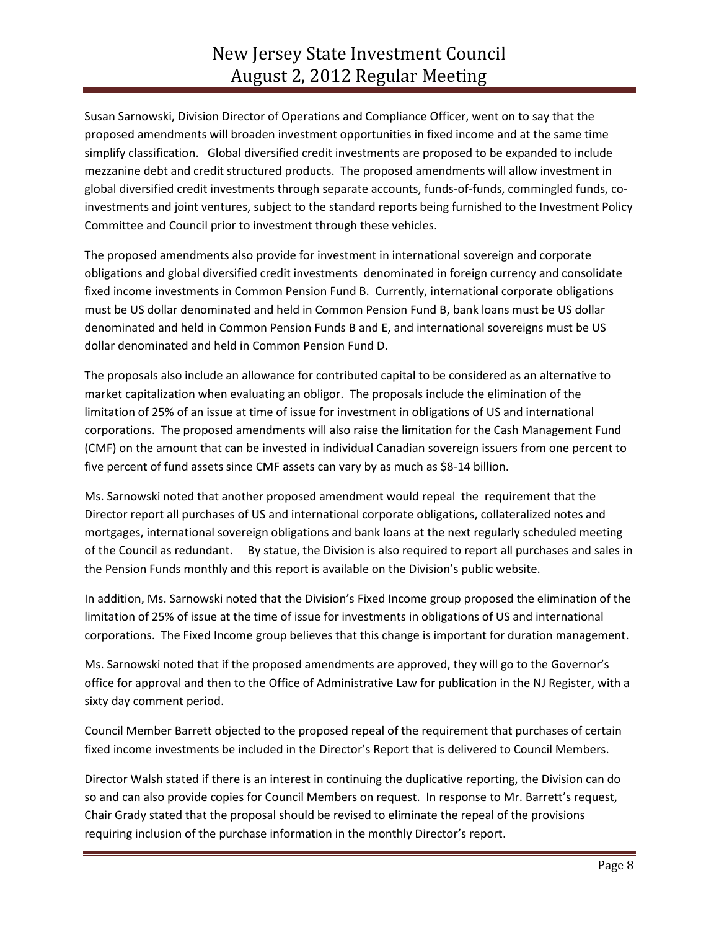Susan Sarnowski, Division Director of Operations and Compliance Officer, went on to say that the proposed amendments will broaden investment opportunities in fixed income and at the same time simplify classification. Global diversified credit investments are proposed to be expanded to include mezzanine debt and credit structured products. The proposed amendments will allow investment in global diversified credit investments through separate accounts, funds-of-funds, commingled funds, coinvestments and joint ventures, subject to the standard reports being furnished to the Investment Policy Committee and Council prior to investment through these vehicles.

The proposed amendments also provide for investment in international sovereign and corporate obligations and global diversified credit investments denominated in foreign currency and consolidate fixed income investments in Common Pension Fund B. Currently, international corporate obligations must be US dollar denominated and held in Common Pension Fund B, bank loans must be US dollar denominated and held in Common Pension Funds B and E, and international sovereigns must be US dollar denominated and held in Common Pension Fund D.

The proposals also include an allowance for contributed capital to be considered as an alternative to market capitalization when evaluating an obligor. The proposals include the elimination of the limitation of 25% of an issue at time of issue for investment in obligations of US and international corporations. The proposed amendments will also raise the limitation for the Cash Management Fund (CMF) on the amount that can be invested in individual Canadian sovereign issuers from one percent to five percent of fund assets since CMF assets can vary by as much as \$8-14 billion.

Ms. Sarnowski noted that another proposed amendment would repeal the requirement that the Director report all purchases of US and international corporate obligations, collateralized notes and mortgages, international sovereign obligations and bank loans at the next regularly scheduled meeting of the Council as redundant. By statue, the Division is also required to report all purchases and sales in the Pension Funds monthly and this report is available on the Division's public website.

In addition, Ms. Sarnowski noted that the Division's Fixed Income group proposed the elimination of the limitation of 25% of issue at the time of issue for investments in obligations of US and international corporations. The Fixed Income group believes that this change is important for duration management.

Ms. Sarnowski noted that if the proposed amendments are approved, they will go to the Governor's office for approval and then to the Office of Administrative Law for publication in the NJ Register, with a sixty day comment period.

Council Member Barrett objected to the proposed repeal of the requirement that purchases of certain fixed income investments be included in the Director's Report that is delivered to Council Members.

Director Walsh stated if there is an interest in continuing the duplicative reporting, the Division can do so and can also provide copies for Council Members on request. In response to Mr. Barrett's request, Chair Grady stated that the proposal should be revised to eliminate the repeal of the provisions requiring inclusion of the purchase information in the monthly Director's report.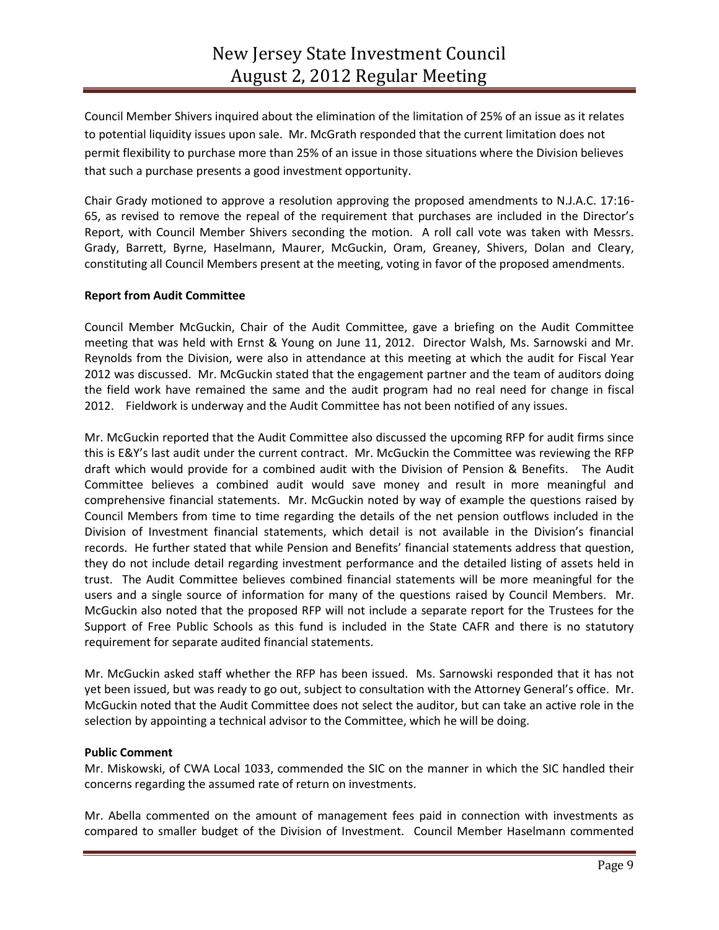Council Member Shivers inquired about the elimination of the limitation of 25% of an issue as it relates to potential liquidity issues upon sale. Mr. McGrath responded that the current limitation does not permit flexibility to purchase more than 25% of an issue in those situations where the Division believes that such a purchase presents a good investment opportunity.

Chair Grady motioned to approve a resolution approving the proposed amendments to N.J.A.C. 17:16- 65, as revised to remove the repeal of the requirement that purchases are included in the Director's Report, with Council Member Shivers seconding the motion. A roll call vote was taken with Messrs. Grady, Barrett, Byrne, Haselmann, Maurer, McGuckin, Oram, Greaney, Shivers, Dolan and Cleary, constituting all Council Members present at the meeting, voting in favor of the proposed amendments.

#### **Report from Audit Committee**

Council Member McGuckin, Chair of the Audit Committee, gave a briefing on the Audit Committee meeting that was held with Ernst & Young on June 11, 2012. Director Walsh, Ms. Sarnowski and Mr. Reynolds from the Division, were also in attendance at this meeting at which the audit for Fiscal Year 2012 was discussed. Mr. McGuckin stated that the engagement partner and the team of auditors doing the field work have remained the same and the audit program had no real need for change in fiscal 2012. Fieldwork is underway and the Audit Committee has not been notified of any issues.

Mr. McGuckin reported that the Audit Committee also discussed the upcoming RFP for audit firms since this is E&Y's last audit under the current contract. Mr. McGuckin the Committee was reviewing the RFP draft which would provide for a combined audit with the Division of Pension & Benefits. The Audit Committee believes a combined audit would save money and result in more meaningful and comprehensive financial statements. Mr. McGuckin noted by way of example the questions raised by Council Members from time to time regarding the details of the net pension outflows included in the Division of Investment financial statements, which detail is not available in the Division's financial records. He further stated that while Pension and Benefits' financial statements address that question, they do not include detail regarding investment performance and the detailed listing of assets held in trust. The Audit Committee believes combined financial statements will be more meaningful for the users and a single source of information for many of the questions raised by Council Members. Mr. McGuckin also noted that the proposed RFP will not include a separate report for the Trustees for the Support of Free Public Schools as this fund is included in the State CAFR and there is no statutory requirement for separate audited financial statements.

Mr. McGuckin asked staff whether the RFP has been issued. Ms. Sarnowski responded that it has not yet been issued, but was ready to go out, subject to consultation with the Attorney General's office. Mr. McGuckin noted that the Audit Committee does not select the auditor, but can take an active role in the selection by appointing a technical advisor to the Committee, which he will be doing.

#### **Public Comment**

Mr. Miskowski, of CWA Local 1033, commended the SIC on the manner in which the SIC handled their concerns regarding the assumed rate of return on investments.

Mr. Abella commented on the amount of management fees paid in connection with investments as compared to smaller budget of the Division of Investment. Council Member Haselmann commented